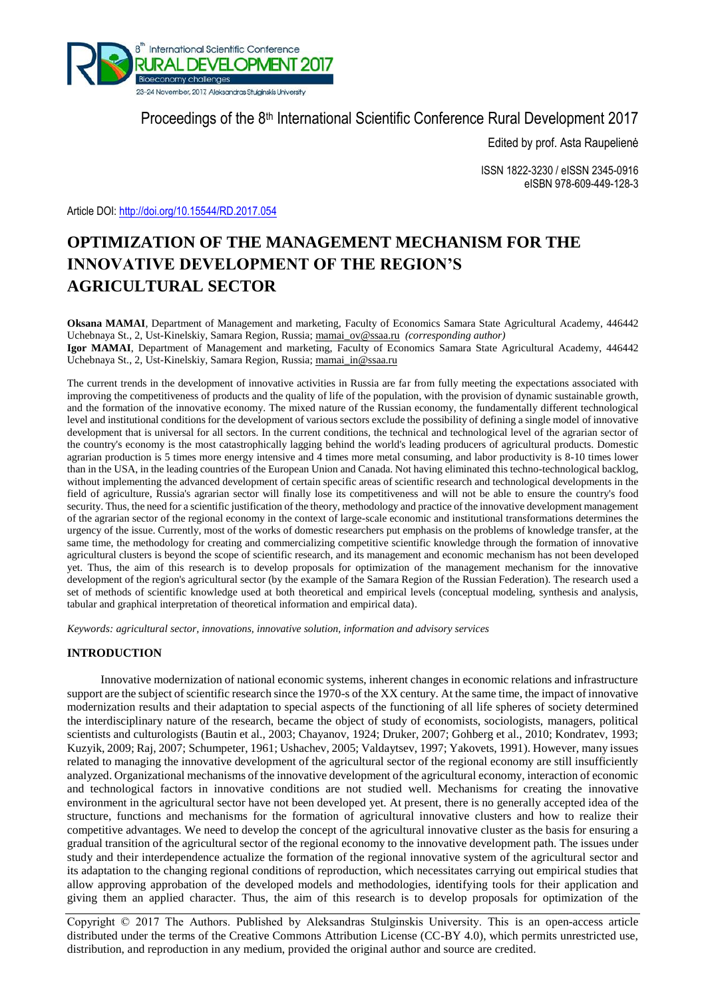

Proceedings of the 8<sup>th</sup> International Scientific Conference Rural Development 2017

Edited by prof. Asta Raupelienė

ISSN 1822-3230 / eISSN 2345-0916 eISBN 978-609-449-128-3

Article DOI: <http://doi.org/10.15544/RD.2017.054>

# **OPTIMIZATION OF THE MANAGEMENT MECHANISM FOR THE INNOVATIVE DEVELOPMENT OF THE REGION'S AGRICULTURAL SECTOR**

**Oksana MAMAI**, Department of Management and marketing, Faculty of Economics Samara State Agricultural Academy, 446442 Uchebnaya St., 2, Ust-Kinelskiy, Samara Region, Russia; [mamai\\_ov@ssaa.ru](mailto:mamai_ov@ssaa.ru) *(corresponding author)* **Igor MAMAI**, Department of Management and marketing, Faculty of Economics Samara State Agricultural Academy, 446442 Uchebnaya St., 2, Ust-Kinelskiy, Samara Region, Russia; [mamai\\_in@ssaa.ru](mailto:mamai_in@ssaa.ru)

The current trends in the development of innovative activities in Russia are far from fully meeting the expectations associated with improving the competitiveness of products and the quality of life of the population, with the provision of dynamic sustainable growth, and the formation of the innovative economy. The mixed nature of the Russian economy, the fundamentally different technological level and institutional conditions for the development of various sectors exclude the possibility of defining a single model of innovative development that is universal for all sectors. In the current conditions, the technical and technological level of the agrarian sector of the country's economy is the most catastrophically lagging behind the world's leading producers of agricultural products. Domestic agrarian production is 5 times more energy intensive and 4 times more metal consuming, and labor productivity is 8-10 times lower than in the USA, in the leading countries of the European Union and Canada. Not having eliminated this techno-technological backlog, without implementing the advanced development of certain specific areas of scientific research and technological developments in the field of agriculture, Russia's agrarian sector will finally lose its competitiveness and will not be able to ensure the country's food security. Thus, the need for a scientific justification of the theory, methodology and practice of the innovative development management of the agrarian sector of the regional economy in the context of large-scale economic and institutional transformations determines the urgency of the issue. Currently, most of the works of domestic researchers put emphasis on the problems of knowledge transfer, at the same time, the methodology for creating and commercializing competitive scientific knowledge through the formation of innovative agricultural clusters is beyond the scope of scientific research, and its management and economic mechanism has not been developed yet. Thus, the aim of this research is to develop proposals for optimization of the management mechanism for the innovative development of the region's agricultural sector (by the example of the Samara Region of the Russian Federation). The research used a set of methods of scientific knowledge used at both theoretical and empirical levels (conceptual modeling, synthesis and analysis, tabular and graphical interpretation of theoretical information and empirical data).

*Keywords: agricultural sector, innovations, innovative solution, information and advisory services*

# **INTRODUCTION**

Innovative modernization of national economic systems, inherent changes in economic relations and infrastructure support are the subject of scientific research since the 1970-s of the XX century. At the same time, the impact of innovative modernization results and their adaptation to special aspects of the functioning of all life spheres of society determined the interdisciplinary nature of the research, became the object of study of economists, sociologists, managers, political scientists and culturologists (Bautin et al., 2003; Chayanov, 1924; Druker, 2007; Gohberg et al., 2010; Kondratev, 1993; Kuzyik, 2009; Raj, 2007; Schumpeter, 1961; Ushachev, 2005; Valdaytsev, 1997; Yakovets, 1991). However, many issues related to managing the innovative development of the agricultural sector of the regional economy are still insufficiently analyzed. Organizational mechanisms of the innovative development of the agricultural economy, interaction of economic and technological factors in innovative conditions are not studied well. Mechanisms for creating the innovative environment in the agricultural sector have not been developed yet. At present, there is no generally accepted idea of the structure, functions and mechanisms for the formation of agricultural innovative clusters and how to realize their competitive advantages. We need to develop the concept of the agricultural innovative cluster as the basis for ensuring a gradual transition of the agricultural sector of the regional economy to the innovative development path. The issues under study and their interdependence actualize the formation of the regional innovative system of the agricultural sector and its adaptation to the changing regional conditions of reproduction, which necessitates carrying out empirical studies that allow approving approbation of the developed models and methodologies, identifying tools for their application and giving them an applied character. Thus, the aim of this research is to develop proposals for optimization of the

Copyright © 2017 The Authors. Published by Aleksandras Stulginskis University. This is an open-access article distributed under the terms of the Creative Commons Attribution License (CC-BY 4.0), which permits unrestricted use, distribution, and reproduction in any medium, provided the original author and source are credited.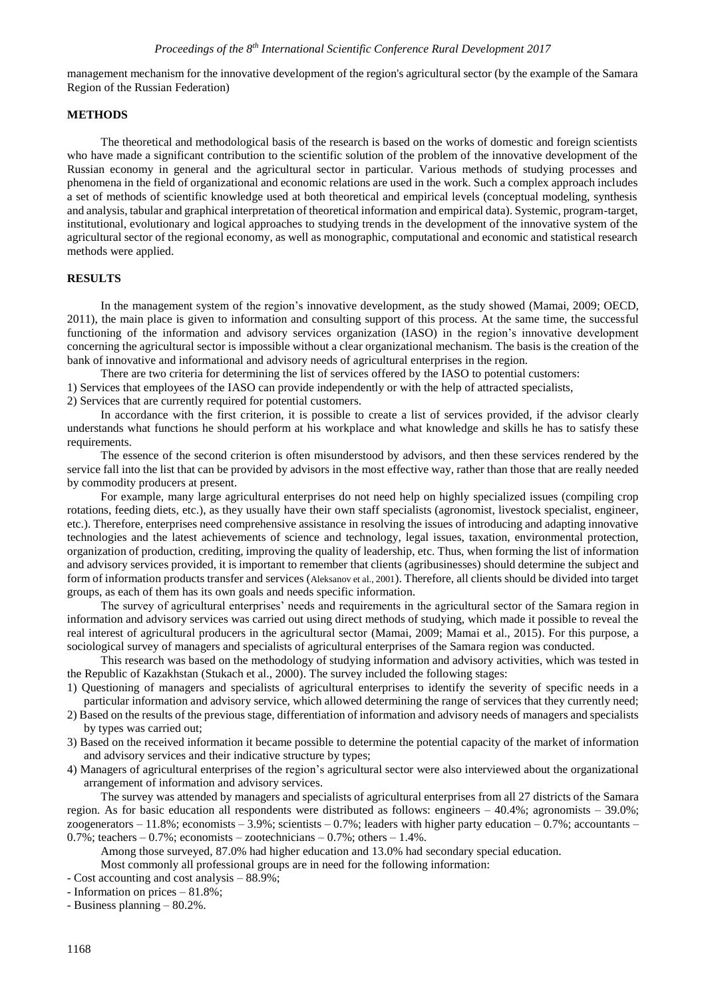management mechanism for the innovative development of the region's agricultural sector (by the example of the Samara Region of the Russian Federation)

### **METHODS**

The theoretical and methodological basis of the research is based on the works of domestic and foreign scientists who have made a significant contribution to the scientific solution of the problem of the innovative development of the Russian economy in general and the agricultural sector in particular. Various methods of studying processes and phenomena in the field of organizational and economic relations are used in the work. Such a complex approach includes a set of methods of scientific knowledge used at both theoretical and empirical levels (conceptual modeling, synthesis and analysis, tabular and graphical interpretation of theoretical information and empirical data). Systemic, program-target, institutional, evolutionary and logical approaches to studying trends in the development of the innovative system of the agricultural sector of the regional economy, as well as monographic, computational and economic and statistical research methods were applied.

# **RESULTS**

In the management system of the region's innovative development, as the study showed (Mamai, 2009; OECD, 2011), the main place is given to information and consulting support of this process. At the same time, the successful functioning of the information and advisory services organization (IASO) in the region's innovative development concerning the agricultural sector is impossible without a clear organizational mechanism. The basis is the creation of the bank of innovative and informational and advisory needs of agricultural enterprises in the region.

There are two criteria for determining the list of services offered by the IASO to potential customers: 1) Services that employees of the IASO can provide independently or with the help of attracted specialists, 2) Services that are currently required for potential customers.

In accordance with the first criterion, it is possible to create a list of services provided, if the advisor clearly understands what functions he should perform at his workplace and what knowledge and skills he has to satisfy these requirements.

The essence of the second criterion is often misunderstood by advisors, and then these services rendered by the service fall into the list that can be provided by advisors in the most effective way, rather than those that are really needed by commodity producers at present.

For example, many large agricultural enterprises do not need help on highly specialized issues (compiling crop rotations, feeding diets, etc.), as they usually have their own staff specialists (agronomist, livestock specialist, engineer, etc.). Therefore, enterprises need comprehensive assistance in resolving the issues of introducing and adapting innovative technologies and the latest achievements of science and technology, legal issues, taxation, environmental protection, organization of production, crediting, improving the quality of leadership, etc. Thus, when forming the list of information and advisory services provided, it is important to remember that clients (agribusinesses) should determine the subject and form of information products transfer and services (Aleksanov et al., 2001). Therefore, all clients should be divided into target groups, as each of them has its own goals and needs specific information.

The survey of agricultural enterprises' needs and requirements in the agricultural sector of the Samara region in information and advisory services was carried out using direct methods of studying, which made it possible to reveal the real interest of agricultural producers in the agricultural sector (Mamai, 2009; Mamai et al., 2015). For this purpose, a sociological survey of managers and specialists of agricultural enterprises of the Samara region was conducted.

This research was based on the methodology of studying information and advisory activities, which was tested in the Republic of Kazakhstan (Stukach et al., 2000). The survey included the following stages:

1) Questioning of managers and specialists of agricultural enterprises to identify the severity of specific needs in a particular information and advisory service, which allowed determining the range of services that they currently need;

- 2) Based on the results of the previous stage, differentiation of information and advisory needs of managers and specialists by types was carried out;
- 3) Based on the received information it became possible to determine the potential capacity of the market of information and advisory services and their indicative structure by types;
- 4) Managers of agricultural enterprises of the region's agricultural sector were also interviewed about the organizational arrangement of information and advisory services.

The survey was attended by managers and specialists of agricultural enterprises from all 27 districts of the Samara region. As for basic education all respondents were distributed as follows: engineers – 40.4%; agronomists – 39.0%; zoogenerators – 11.8%; economists – 3.9%; scientists – 0.7%; leaders with higher party education – 0.7%; accountants –  $0.7\%$ ; teachers  $-0.7\%$ ; economists  $-$  zootechnicians  $-0.7\%$ ; others  $-1.4\%$ .

Among those surveyed, 87.0% had higher education and 13.0% had secondary special education.

Most commonly all professional groups are in need for the following information:

- Cost accounting and cost analysis – 88.9%;

- Information on prices – 81.8%;

- Business planning – 80.2%.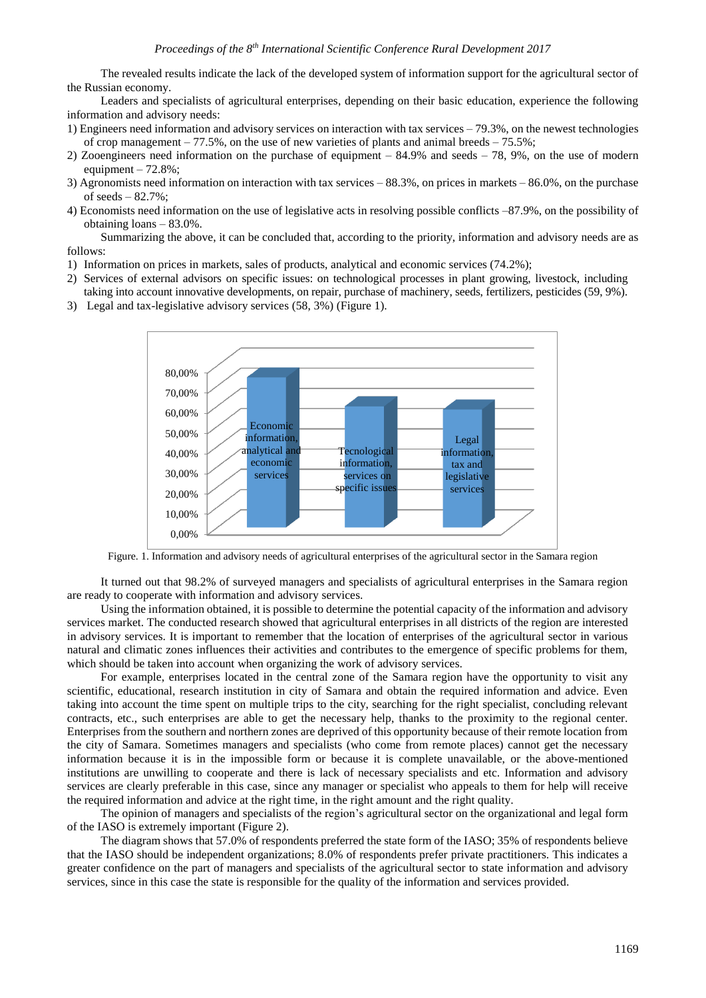The revealed results indicate the lack of the developed system of information support for the agricultural sector of the Russian economy.

Leaders and specialists of agricultural enterprises, depending on their basic education, experience the following information and advisory needs:

- 1) Engineers need information and advisory services on interaction with tax services 79.3%, on the newest technologies of crop management – 77.5%, on the use of new varieties of plants and animal breeds – 75.5%;
- 2) Zooengineers need information on the purchase of equipment 84.9% and seeds 78, 9%, on the use of modern equipment  $-72.8\%$ ;
- 3) Agronomists need information on interaction with tax services 88.3%, on prices in markets 86.0%, on the purchase of seeds  $-82.7\%$ :
- 4) Economists need information on the use of legislative acts in resolving possible conflicts –87.9%, on the possibility of obtaining loans – 83.0%.

Summarizing the above, it can be concluded that, according to the priority, information and advisory needs are as follows:

- 1) Information on prices in markets, sales of products, analytical and economic services (74.2%);
- 2) Services of external advisors on specific issues: on technological processes in plant growing, livestock, including
- taking into account innovative developments, on repair, purchase of machinery, seeds, fertilizers, pesticides (59, 9%).
- 3) Legal and tax-legislative advisory services (58, 3%) (Figure 1).



Figure. 1. Information and advisory needs of agricultural enterprises of the agricultural sector in the Samara region

It turned out that 98.2% of surveyed managers and specialists of agricultural enterprises in the Samara region are ready to cooperate with information and advisory services.

Using the information obtained, it is possible to determine the potential capacity of the information and advisory services market. The conducted research showed that agricultural enterprises in all districts of the region are interested in advisory services. It is important to remember that the location of enterprises of the agricultural sector in various natural and climatic zones influences their activities and contributes to the emergence of specific problems for them, which should be taken into account when organizing the work of advisory services.

For example, enterprises located in the central zone of the Samara region have the opportunity to visit any scientific, educational, research institution in city of Samara and obtain the required information and advice. Even taking into account the time spent on multiple trips to the city, searching for the right specialist, concluding relevant contracts, etc., such enterprises are able to get the necessary help, thanks to the proximity to the regional center. Enterprises from the southern and northern zones are deprived of this opportunity because of their remote location from the city of Samara. Sometimes managers and specialists (who come from remote places) cannot get the necessary information because it is in the impossible form or because it is complete unavailable, or the above-mentioned institutions are unwilling to cooperate and there is lack of necessary specialists and etc. Information and advisory services are clearly preferable in this case, since any manager or specialist who appeals to them for help will receive the required information and advice at the right time, in the right amount and the right quality.

The opinion of managers and specialists of the region's agricultural sector on the organizational and legal form of the IASO is extremely important (Figure 2).

The diagram shows that 57.0% of respondents preferred the state form of the IASO; 35% of respondents believe that the IASO should be independent organizations; 8.0% of respondents prefer private practitioners. This indicates a greater confidence on the part of managers and specialists of the agricultural sector to state information and advisory services, since in this case the state is responsible for the quality of the information and services provided.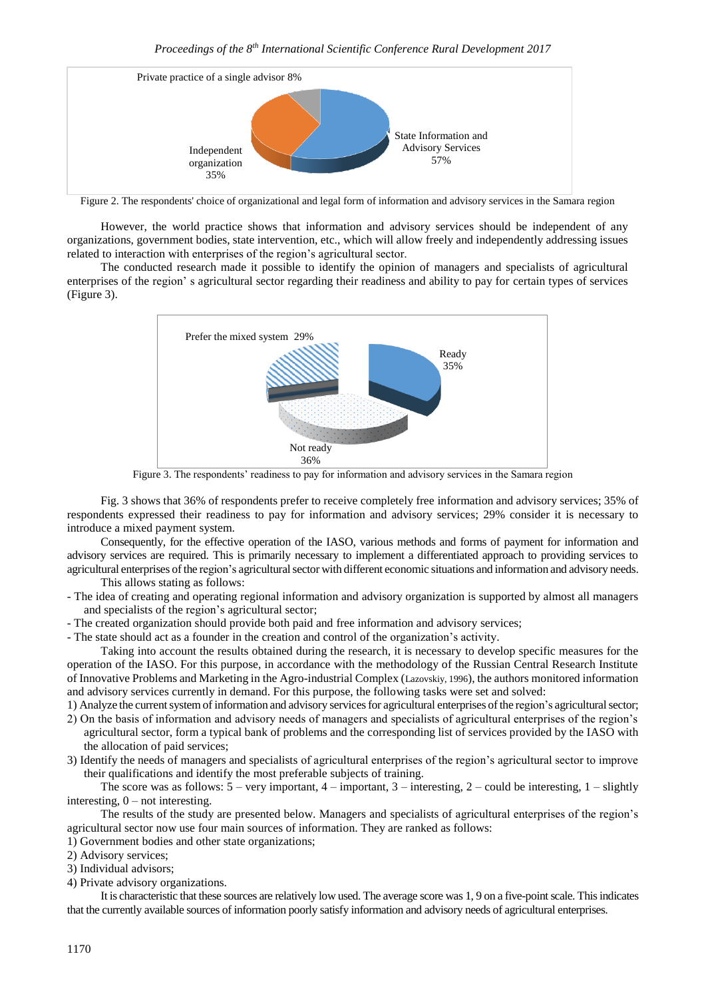

Figure 2. The respondents' choice of organizational and legal form of information and advisory services in the Samara region

However, the world practice shows that information and advisory services should be independent of any organizations, government bodies, state intervention, etc., which will allow freely and independently addressing issues related to interaction with enterprises of the region's agricultural sector.

The conducted research made it possible to identify the opinion of managers and specialists of agricultural enterprises of the region' s agricultural sector regarding their readiness and ability to pay for certain types of services (Figure 3).



Figure 3. The respondents' readiness to pay for information and advisory services in the Samara region

Fig. 3 shows that 36% of respondents prefer to receive completely free information and advisory services; 35% of respondents expressed their readiness to pay for information and advisory services; 29% consider it is necessary to introduce a mixed payment system.

Consequently, for the effective operation of the IASO, various methods and forms of payment for information and advisory services are required. This is primarily necessary to implement a differentiated approach to providing services to agricultural enterprises of the region's agricultural sector with different economic situations and information and advisory needs. This allows stating as follows:

- The idea of creating and operating regional information and advisory organization is supported by almost all managers and specialists of the region's agricultural sector;
- The created organization should provide both paid and free information and advisory services;

- The state should act as a founder in the creation and control of the organization's activity.

Taking into account the results obtained during the research, it is necessary to develop specific measures for the operation of the IASO. For this purpose, in accordance with the methodology of the Russian Central Research Institute of Innovative Problems and Marketing in the Agro-industrial Complex (Lazovskiy, 1996), the authors monitored information and advisory services currently in demand. For this purpose, the following tasks were set and solved:

- 1) Analyze the current system of information and advisory services for agricultural enterprises of the region's agriculturalsector;
- 2) On the basis of information and advisory needs of managers and specialists of agricultural enterprises of the region's agricultural sector, form a typical bank of problems and the corresponding list of services provided by the IASO with the allocation of paid services;
- 3) Identify the needs of managers and specialists of agricultural enterprises of the region's agricultural sector to improve their qualifications and identify the most preferable subjects of training.

The score was as follows:  $5 - \text{very important}, 4 - \text{important}, 3 - \text{interesting}, 2 - \text{could be interesting}, 1 - \text{slightly}$ interesting, 0 – not interesting.

The results of the study are presented below. Managers and specialists of agricultural enterprises of the region's agricultural sector now use four main sources of information. They are ranked as follows:

1) Government bodies and other state organizations;

2) Advisory services;

3) Individual advisors;

4) Private advisory organizations.

It is characteristic that these sources are relatively low used. The average score was 1, 9 on a five-point scale. This indicates that the currently available sources of information poorly satisfy information and advisory needs of agricultural enterprises.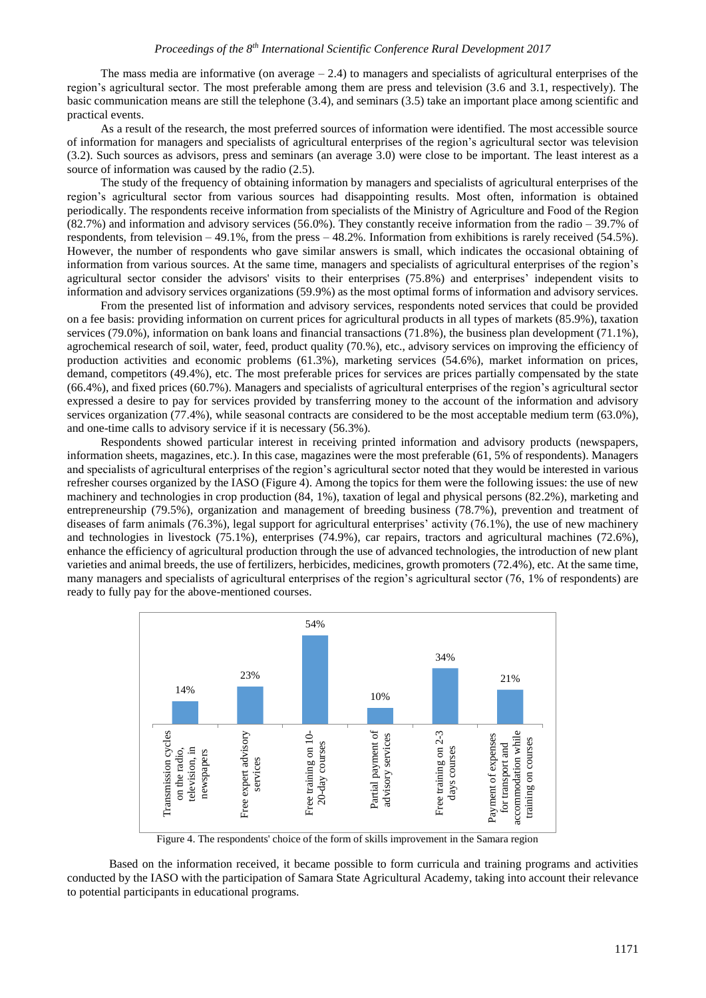The mass media are informative (on average  $-2.4$ ) to managers and specialists of agricultural enterprises of the region's agricultural sector. The most preferable among them are press and television (3.6 and 3.1, respectively). The basic communication means are still the telephone (3.4), and seminars (3.5) take an important place among scientific and practical events.

As a result of the research, the most preferred sources of information were identified. The most accessible source of information for managers and specialists of agricultural enterprises of the region's agricultural sector was television (3.2). Such sources as advisors, press and seminars (an average 3.0) were close to be important. The least interest as a source of information was caused by the radio (2.5).

The study of the frequency of obtaining information by managers and specialists of agricultural enterprises of the region's agricultural sector from various sources had disappointing results. Most often, information is obtained periodically. The respondents receive information from specialists of the Ministry of Agriculture and Food of the Region (82.7%) and information and advisory services (56.0%). They constantly receive information from the radio – 39.7% of respondents, from television – 49.1%, from the press – 48.2%. Information from exhibitions is rarely received (54.5%). However, the number of respondents who gave similar answers is small, which indicates the occasional obtaining of information from various sources. At the same time, managers and specialists of agricultural enterprises of the region's agricultural sector consider the advisors' visits to their enterprises (75.8%) and enterprises' independent visits to information and advisory services organizations (59.9%) as the most optimal forms of information and advisory services.

From the presented list of information and advisory services, respondents noted services that could be provided on a fee basis: providing information on current prices for agricultural products in all types of markets (85.9%), taxation services (79.0%), information on bank loans and financial transactions (71.8%), the business plan development (71.1%), agrochemical research of soil, water, feed, product quality (70.%), etc., advisory services on improving the efficiency of production activities and economic problems (61.3%), marketing services (54.6%), market information on prices, demand, competitors (49.4%), etc. The most preferable prices for services are prices partially compensated by the state (66.4%), and fixed prices (60.7%). Managers and specialists of agricultural enterprises of the region's agricultural sector expressed a desire to pay for services provided by transferring money to the account of the information and advisory services organization (77.4%), while seasonal contracts are considered to be the most acceptable medium term (63.0%), and one-time calls to advisory service if it is necessary (56.3%).

Respondents showed particular interest in receiving printed information and advisory products (newspapers, information sheets, magazines, etc.). In this case, magazines were the most preferable (61, 5% of respondents). Managers and specialists of agricultural enterprises of the region's agricultural sector noted that they would be interested in various refresher courses organized by the IASO (Figure 4). Among the topics for them were the following issues: the use of new machinery and technologies in crop production (84, 1%), taxation of legal and physical persons (82.2%), marketing and entrepreneurship (79.5%), organization and management of breeding business (78.7%), prevention and treatment of diseases of farm animals (76.3%), legal support for agricultural enterprises' activity (76.1%), the use of new machinery and technologies in livestock (75.1%), enterprises (74.9%), car repairs, tractors and agricultural machines (72.6%), enhance the efficiency of agricultural production through the use of advanced technologies, the introduction of new plant varieties and animal breeds, the use of fertilizers, herbicides, medicines, growth promoters (72.4%), etc. At the same time, many managers and specialists of agricultural enterprises of the region's agricultural sector (76, 1% of respondents) are ready to fully pay for the above-mentioned courses.



Figure 4. The respondents' choice of the form of skills improvement in the Samara region

Based on the information received, it became possible to form curricula and training programs and activities conducted by the IASO with the participation of Samara State Agricultural Academy, taking into account their relevance to potential participants in educational programs.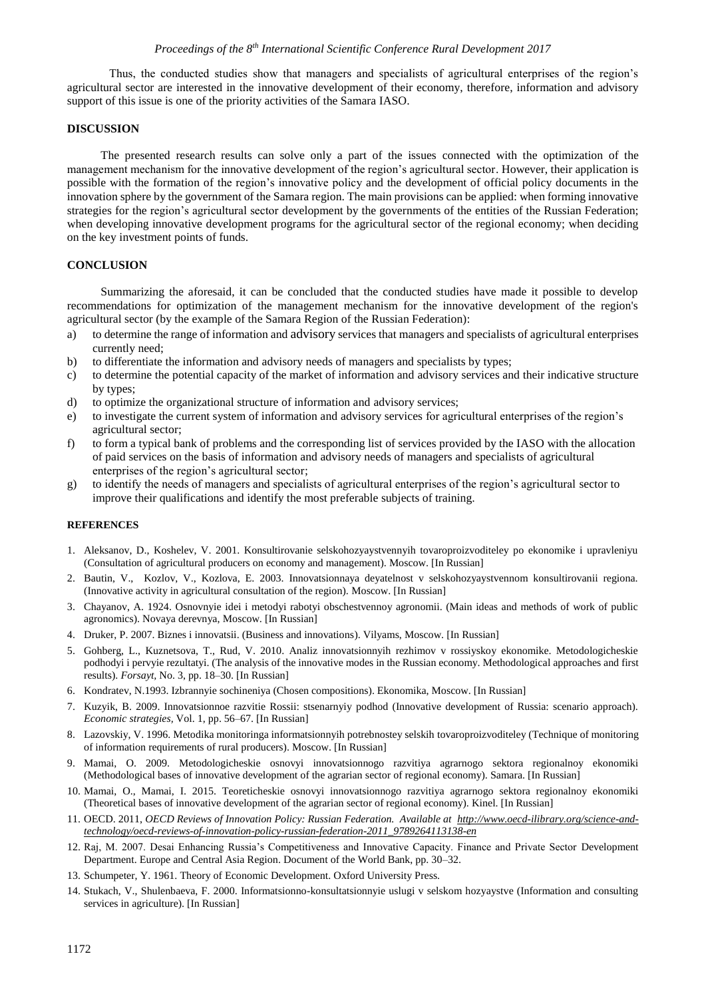Thus, the conducted studies show that managers and specialists of agricultural enterprises of the region's agricultural sector are interested in the innovative development of their economy, therefore, information and advisory support of this issue is one of the priority activities of the Samara IASO.

## **DISCUSSION**

The presented research results can solve only a part of the issues connected with the optimization of the management mechanism for the innovative development of the region's agricultural sector. However, their application is possible with the formation of the region's innovative policy and the development of official policy documents in the innovation sphere by the government of the Samara region. The main provisions can be applied: when forming innovative strategies for the region's agricultural sector development by the governments of the entities of the Russian Federation; when developing innovative development programs for the agricultural sector of the regional economy; when deciding on the key investment points of funds.

### **CONCLUSION**

Summarizing the aforesaid, it can be concluded that the conducted studies have made it possible to develop recommendations for optimization of the management mechanism for the innovative development of the region's agricultural sector (by the example of the Samara Region of the Russian Federation):

- a) to determine the range of information and advisory services that managers and specialists of agricultural enterprises currently need;
- b) to differentiate the information and advisory needs of managers and specialists by types;
- c) to determine the potential capacity of the market of information and advisory services and their indicative structure by types;
- d) to optimize the organizational structure of information and advisory services;
- e) to investigate the current system of information and advisory services for agricultural enterprises of the region's agricultural sector;
- f) to form a typical bank of problems and the corresponding list of services provided by the IASO with the allocation of paid services on the basis of information and advisory needs of managers and specialists of agricultural enterprises of the region's agricultural sector;
- g) to identify the needs of managers and specialists of agricultural enterprises of the region's agricultural sector to improve their qualifications and identify the most preferable subjects of training.

#### **REFERENCES**

- 1. Aleksanov, D., Koshelev, V. 2001. Konsultirovanie selskohozyaystvennyih tovaroproizvoditeley po ekonomike i upravleniyu (Consultation of agricultural producers on economy and management). Moscow. [In Russian]
- 2. Bautin, V., Kozlov, V., Kozlova, E. 2003. Innovatsionnaya deyatelnost v selskohozyaystvennom konsultirovanii regiona. (Innovative activity in agricultural consultation of the region). Moscow. [In Russian]
- 3. Chayanov, A. 1924. Osnovnyie idei i metodyi rabotyi obschestvennoy agronomii. (Main ideas and methods of work of public agronomics). Novaya derevnya, Moscow. [In Russian]
- 4. Druker, P. 2007. Biznes i innovatsii. (Business and innovations). Vilyams, Moscow. [In Russian]
- 5. Gohberg, L., Kuznetsova, T., Rud, V. 2010. Analiz innovatsionnyih rezhimov v rossiyskoy ekonomike. Metodologicheskie podhodyi i pervyie rezultatyi. (The analysis of the innovative modes in the Russian economy. Methodological approaches and first results). *Forsayt,* No. 3, pp. 18–30. [In Russian]
- 6. Kondratev, N.1993. Izbrannyie sochineniya (Chosen compositions). Ekonomika, Moscow. [In Russian]
- 7. Kuzyik, B. 2009. Innovatsionnoe razvitie Rossii: stsenarnyiy podhod (Innovative development of Russia: scenario approach). *Economic strategies,* Vol. 1, pp. 56–67. [In Russian]
- 8. Lazovskiy, V. 1996. Metodika monitoringa informatsionnyih potrebnostey selskih tovaroproizvoditeley (Technique of monitoring of information requirements of rural producers). Moscow. [In Russian]
- 9. Mamai, O. 2009. Metodologicheskie osnovyi innovatsionnogo razvitiya agrarnogo sektora regionalnoy ekonomiki (Methodological bases of innovative development of the agrarian sector of regional economy). Samara. [In Russian]
- 10. Mamai, O., Mamai, I. 2015. Teoreticheskie osnovyi innovatsionnogo razvitiya agrarnogo sektora regionalnoy ekonomiki (Theoretical bases of innovative development of the agrarian sector of regional economy). Kinel. [In Russian]
- 11. OECD. 2011, *OECD Reviews of Innovation Policy: Russian Federation. Available at [http://www.oecd-ilibrary.org/science-and](http://www.oecd-ilibrary.org/science-and-technology/oecd-reviews-of-innovation-policy-russian-federation-2011_9789264113138-en)[technology/oecd-reviews-of-innovation-policy-russian-federation-2011\\_9789264113138-en](http://www.oecd-ilibrary.org/science-and-technology/oecd-reviews-of-innovation-policy-russian-federation-2011_9789264113138-en)*
- 12. Raj, M. 2007. Desai Enhancing Russia's Competitiveness and Innovative Capacity. Finance and Private Sector Development Department. Europe and Central Asia Region. Document of the World Bank, pp. 30–32.
- 13. Schumpeter, Y. 1961. Theory of Economic Development. Oxford University Press.
- 14. Stukach, V., Shulenbaeva, F. 2000. Informatsionno-konsultatsionnyie uslugi v selskom hozyaystve (Information and consulting services in agriculture). [In Russian]